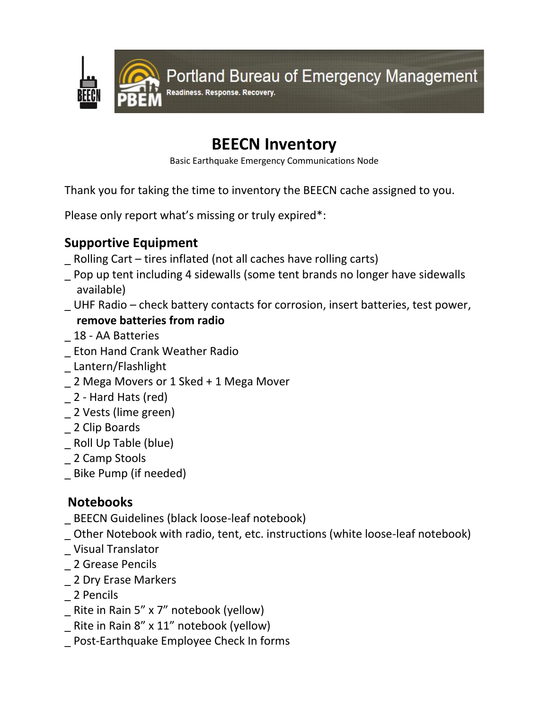

# **BEECN Inventory**

Basic Earthquake Emergency Communications Node

Thank you for taking the time to inventory the BEECN cache assigned to you.

Please only report what's missing or truly expired\*:

## **Supportive Equipment**

- \_ Rolling Cart tires inflated (not all caches have rolling carts)
- \_ Pop up tent including 4 sidewalls (some tent brands no longer have sidewalls available)
- \_ UHF Radio check battery contacts for corrosion, insert batteries, test power,

#### **remove batteries from radio**

- \_ 18 AA Batteries
- \_ Eton Hand Crank Weather Radio
- \_ Lantern/Flashlight
- \_ 2 Mega Movers or 1 Sked + 1 Mega Mover
- \_ 2 Hard Hats (red)
- \_ 2 Vests (lime green)
- \_ 2 Clip Boards
- \_ Roll Up Table (blue)
- \_ 2 Camp Stools
- \_ Bike Pump (if needed)

## **Notebooks**

- \_ BEECN Guidelines (black loose-leaf notebook)
- \_ Other Notebook with radio, tent, etc. instructions (white loose-leaf notebook)
- \_ Visual Translator
- \_ 2 Grease Pencils
- \_ 2 Dry Erase Markers
- \_ 2 Pencils
- \_ Rite in Rain 5" x 7" notebook (yellow)
- \_ Rite in Rain 8" x 11" notebook (yellow)
- \_ Post-Earthquake Employee Check In forms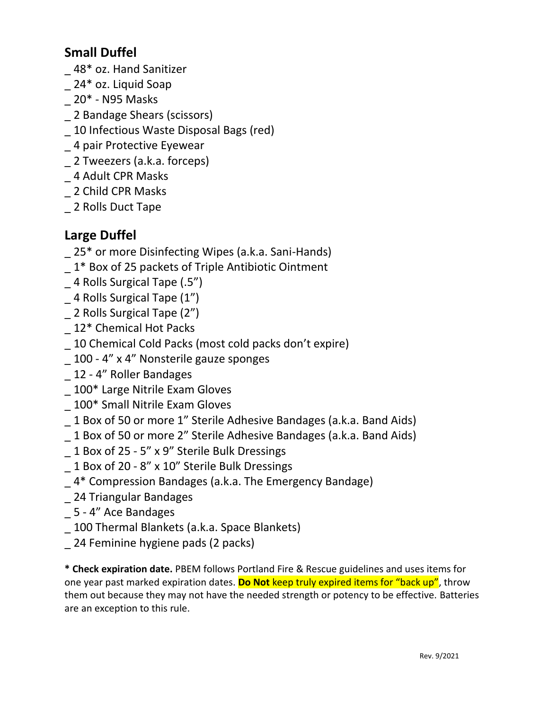#### **Small Duffel**

- \_ 48\* oz. Hand Sanitizer
- 24\* oz. Liquid Soap
- \_ 20\* N95 Masks
- \_ 2 Bandage Shears (scissors)
- \_ 10 Infectious Waste Disposal Bags (red)
- \_ 4 pair Protective Eyewear
- 2 Tweezers (a.k.a. forceps)
- \_ 4 Adult CPR Masks
- \_ 2 Child CPR Masks
- \_ 2 Rolls Duct Tape

#### **Large Duffel**

- 25<sup>\*</sup> or more Disinfecting Wipes (a.k.a. Sani-Hands)
- \_ 1\* Box of 25 packets of Triple Antibiotic Ointment
- \_ 4 Rolls Surgical Tape (.5")
- \_ 4 Rolls Surgical Tape (1")
- \_ 2 Rolls Surgical Tape (2")
- 12\* Chemical Hot Packs
- \_ 10 Chemical Cold Packs (most cold packs don't expire)
- \_ 100 4" x 4" Nonsterile gauze sponges
- \_ 12 4" Roller Bandages
- \_ 100\* Large Nitrile Exam Gloves
- \_ 100\* Small Nitrile Exam Gloves
- \_ 1 Box of 50 or more 1" Sterile Adhesive Bandages (a.k.a. Band Aids)
- \_ 1 Box of 50 or more 2" Sterile Adhesive Bandages (a.k.a. Band Aids)
- \_ 1 Box of 25 5" x 9" Sterile Bulk Dressings
- \_ 1 Box of 20 8" x 10" Sterile Bulk Dressings
- \_ 4\* Compression Bandages (a.k.a. The Emergency Bandage)
- \_ 24 Triangular Bandages
- \_ 5 4" Ace Bandages
- \_ 100 Thermal Blankets (a.k.a. Space Blankets)
- 24 Feminine hygiene pads (2 packs)

**\* Check expiration date.** PBEM follows Portland Fire & Rescue guidelines and uses items for one year past marked expiration dates. **Do Not** keep truly expired items for "back up", throw them out because they may not have the needed strength or potency to be effective. Batteries are an exception to this rule.